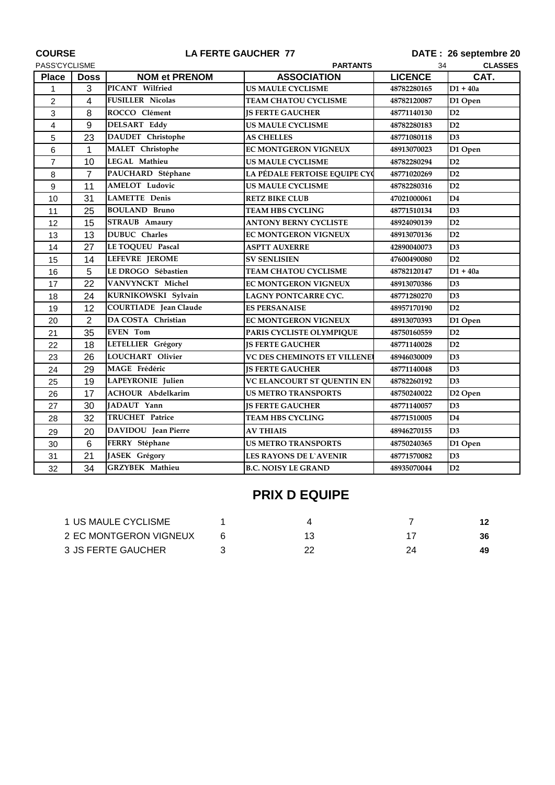| <b>COURSE</b><br>PASS'CYCLISME |                | <b>LA FERTE GAUCHER 77</b>   | DATE: 26 septembre 20         |                |                     |
|--------------------------------|----------------|------------------------------|-------------------------------|----------------|---------------------|
|                                |                |                              | 34<br><b>CLASSES</b>          |                |                     |
| <b>Place</b>                   | <b>Doss</b>    | <b>NOM et PRENOM</b>         | <b>ASSOCIATION</b>            | <b>LICENCE</b> | CAT.                |
| 1                              | 3              | PICANT Wilfried              | <b>US MAULE CYCLISME</b>      | 48782280165    | $D1 + 40a$          |
| $\overline{2}$                 | 4              | <b>FUSILLER Nicolas</b>      | <b>TEAM CHATOU CYCLISME</b>   | 48782120087    | D1 Open             |
| 3                              | 8              | ROCCO Clément                | <b>IS FERTE GAUCHER</b>       | 48771140130    | D2                  |
| 4                              | 9              | <b>DELSART Eddy</b>          | US MAULE CYCLISME             | 48782280183    | D2                  |
| 5                              | 23             | <b>DAUDET</b> Christophe     | <b>AS CHELLES</b>             | 48771080118    | D <sub>3</sub>      |
| 6                              | 1              | <b>MALET</b> Christophe      | <b>EC MONTGERON VIGNEUX</b>   | 48913070023    | D1 Open             |
| 7                              | 10             | <b>LEGAL Mathieu</b>         | US MAULE CYCLISME             | 48782280294    | D2                  |
| 8                              | $\overline{7}$ | PAUCHARD Stéphane            | LA PÉDALE FERTOISE EQUIPE CYC | 48771020269    | D2                  |
| 9                              | 11             | <b>AMELOT</b> Ludovic        | <b>US MAULE CYCLISME</b>      | 48782280316    | D2                  |
| 10                             | 31             | <b>LAMETTE Denis</b>         | <b>RETZ BIKE CLUB</b>         | 47021000061    | D4                  |
| 11                             | 25             | <b>BOULAND Bruno</b>         | <b>TEAM HBS CYCLING</b>       | 48771510134    | D3                  |
| 12                             | 15             | <b>STRAUB</b> Amaury         | <b>ANTONY BERNY CYCLISTE</b>  | 48924090139    | D2                  |
| 13                             | 13             | DUBUC Charles                | <b>EC MONTGERON VIGNEUX</b>   | 48913070136    | D2                  |
| 14                             | 27             | <b>LE TOQUEU Pascal</b>      | ASPTT AUXERRE                 | 42890040073    | D3                  |
| 15                             | 14             | <b>LEFEVRE JEROME</b>        | <b>SV SENLISIEN</b>           | 47600490080    | D2                  |
| 16                             | 5              | LE DROGO Sébastien           | TEAM CHATOU CYCLISME          | 48782120147    | $D1 + 40a$          |
| 17                             | 22             | VANVYNCKT Michel             | <b>EC MONTGERON VIGNEUX</b>   | 48913070386    | D3                  |
| 18                             | 24             | KURNIKOWSKI Sylvain          | LAGNY PONTCARRE CYC.          | 48771280270    | D3                  |
| 19                             | 12             | <b>COURTIADE</b> Jean Claude | <b>ES PERSANAISE</b>          | 48957170190    | D2                  |
| 20                             | $\overline{2}$ | DA COSTA Christian           | <b>EC MONTGERON VIGNEUX</b>   | 48913070393    | D1 Open             |
| 21                             | 35             | <b>EVEN</b> Tom              | PARIS CYCLISTE OLYMPIQUE      | 48750160559    | D2                  |
| 22                             | 18             | LETELLIER Grégory            | <b>IS FERTE GAUCHER</b>       | 48771140028    | D <sub>2</sub>      |
| 23                             | 26             | <b>LOUCHART Olivier</b>      | VC DES CHEMINOTS ET VILLENE   | 48946030009    | D3                  |
| 24                             | 29             | MAGE Frédéric                | <b>IS FERTE GAUCHER</b>       | 48771140048    | D3                  |
| 25                             | 19             | LAPEYRONIE Julien            | VC ELANCOURT ST QUENTIN EN    | 48782260192    | D <sub>3</sub>      |
| 26                             | 17             | <b>ACHOUR Abdelkarim</b>     | <b>US METRO TRANSPORTS</b>    | 48750240022    | D <sub>2</sub> Open |
| 27                             | 30             | JADAUT Yann                  | <b>JS FERTE GAUCHER</b>       | 48771140057    | D3                  |
| 28                             | 32             | <b>TRUCHET Patrice</b>       | TEAM HBS CYCLING              | 48771510005    | D <sub>4</sub>      |
| 29                             | 20             | DAVIDOU Jean Pierre          | <b>AV THIAIS</b>              | 48946270155    | D3                  |
| 30                             | 6              | FERRY Stéphane               | <b>US METRO TRANSPORTS</b>    | 48750240365    | D1 Open             |
| 31                             | 21             | JASEK Grégory                | <b>LES RAYONS DE L'AVENIR</b> | 48771570082    | D3                  |
| 32                             | 34             | <b>GRZYBEK</b> Mathieu       | <b>B.C. NOISY LE GRAND</b>    | 48935070044    | D2                  |
|                                |                |                              |                               |                |                     |

## **PRIX D EQUIPE**

| 1 US MAULE CYCLISME    |  |  |
|------------------------|--|--|
| 2 EC MONTGERON VIGNEUX |  |  |
| 3 JS FERTE GAUCHER     |  |  |